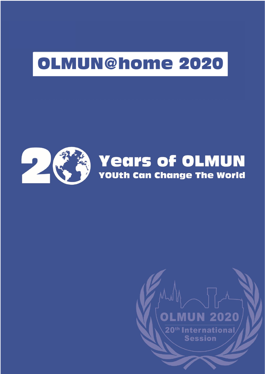# **OLMUN@home 2020**



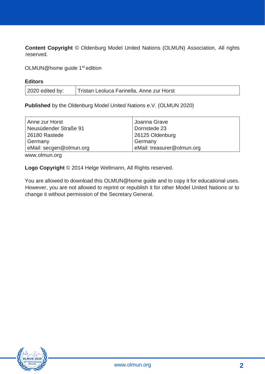**Content Copyright** © Oldenburg Model United Nations (OLMUN) Association, All rights reserved.

OLMUN@home guide 1st edition

#### **Editors**

| 2020 edited by: | Tristan Leoluca Farinella, Anne zur Horst |
|-----------------|-------------------------------------------|
|-----------------|-------------------------------------------|

**Published** by the Oldenburg Model United Nations e.V. (OLMUN 2020)

| Anne zur Horst          | Joanna Grave               |  |  |
|-------------------------|----------------------------|--|--|
| Neusüdender Straße 91   | Dornstede 23               |  |  |
| 26180 Rastede           | 26125 Oldenburg            |  |  |
| Germany                 | Germany                    |  |  |
| eMail: secgen@olmun.org | eMail: treasurer@olmun.org |  |  |
|                         |                            |  |  |

www.olmun.org

**Logo Copyright** © 2014 Helge Wellmann, All Rights reserved.

You are allowed to download this OLMUN@home guide and to copy it for educational uses. However, you are not allowed to reprint or republish it for other Model United Nations or to change it without permission of the Secretary General.

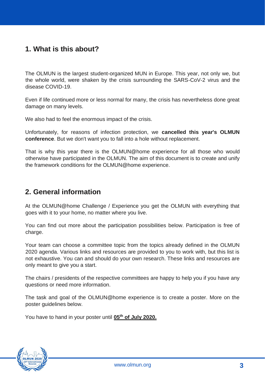## **1. What is this about?**

The OLMUN is the largest student-organized MUN in Europe. This year, not only we, but the whole world, were shaken by the crisis surrounding the SARS-CoV-2 virus and the disease COVID-19.

Even if life continued more or less normal for many, the crisis has nevertheless done great damage on many levels.

We also had to feel the enormous impact of the crisis.

Unfortunately, for reasons of infection protection, we **cancelled this year's OLMUN conference**. But we don't want you to fall into a hole without replacement.

That is why this year there is the OLMUN@home experience for all those who would otherwise have participated in the OLMUN. The aim of this document is to create and unify the framework conditions for the OLMUN@home experience.

## **2. General information**

At the OLMUN@home Challenge / Experience you get the OLMUN with everything that goes with it to your home, no matter where you live.

You can find out more about the participation possibilities below. Participation is free of charge.

Your team can choose a committee topic from the topics already defined in the OLMUN 2020 agenda. Various links and resources are provided to you to work with, but this list is not exhaustive. You can and should do your own research. These links and resources are only meant to give you a start.

The chairs / presidents of the respective committees are happy to help you if you have any questions or need more information.

The task and goal of the OLMUN@home experience is to create a poster. More on the poster guidelines below.

You have to hand in your poster until **05th of July 2020.**

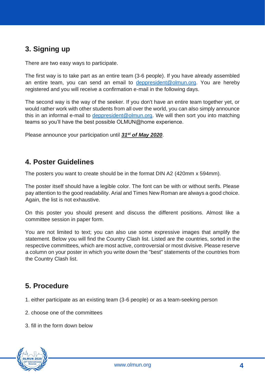## **3. Signing up**

There are two easy ways to participate.

The first way is to take part as an entire team (3-6 people). If you have already assembled an entire team, you can send an email to [deppresident@olmun.org.](mailto:deppresident@olmun.org) You are hereby registered and you will receive a confirmation e-mail in the following days.

The second way is the way of the seeker. If you don't have an entire team together yet, or would rather work with other students from all over the world, you can also simply announce this in an informal e-mail to [deppresident@olmun.org.](mailto:deppresident@olmun.org) We will then sort you into matching teams so you'll have the best possible OLMUN@home experience.

Please announce your participation until *31st of May 2020*.

## **4. Poster Guidelines**

The posters you want to create should be in the format DIN A2 (420mm x 594mm).

The poster itself should have a legible color. The font can be with or without serifs. Please pay attention to the good readability. Arial and Times New Roman are always a good choice. Again, the list is not exhaustive.

On this poster you should present and discuss the different positions. Almost like a committee session in paper form.

You are not limited to text; you can also use some expressive images that amplify the statement. Below you will find the Country Clash list. Listed are the countries, sorted in the respective committees, which are most active, controversial or most divisive. Please reserve a column on your poster in which you write down the "best" statements of the countries from the Country Clash list.

## **5. Procedure**

1. either participate as an existing team (3-6 people) or as a team-seeking person

- 2. choose one of the committees
- 3. fill in the form down below

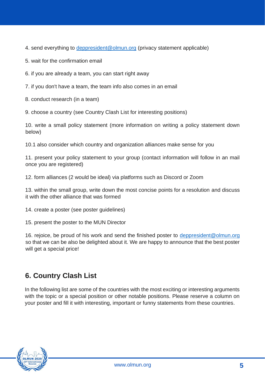4. send everything to [deppresident@olmun.org](mailto:deppresident@olmun.org) (privacy statement applicable)

5. wait for the confirmation email

6. if you are already a team, you can start right away

7. if you don't have a team, the team info also comes in an email

8. conduct research (in a team)

9. choose a country (see Country Clash List for interesting positions)

10. write a small policy statement (more information on writing a policy statement down below)

10.1 also consider which country and organization alliances make sense for you

11. present your policy statement to your group (contact information will follow in an mail once you are registered)

12. form alliances (2 would be ideal) via platforms such as Discord or Zoom

13. within the small group, write down the most concise points for a resolution and discuss it with the other alliance that was formed

14. create a poster (see poster guidelines)

15. present the poster to the MUN Director

16. rejoice, be proud of his work and send the finished poster to [deppresident@olmun.org](mailto:deppresident@olmun.org) so that we can be also be delighted about it. We are happy to announce that the best poster will get a special price!

## **6. Country Clash List**

In the following list are some of the countries with the most exciting or interesting arguments with the topic or a special position or other notable positions. Please reserve a column on your poster and fill it with interesting, important or funny statements from these countries.

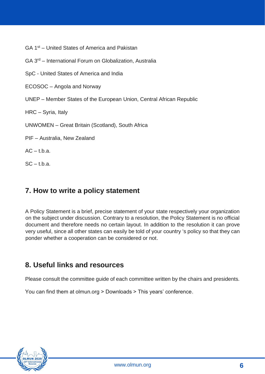GA 1st – United States of America and Pakistan

GA 3rd – International Forum on Globalization, Australia

SpC - United States of America and India

ECOSOC – Angola and Norway

UNEP – Member States of the European Union, Central African Republic

HRC – Syria, Italy

UNWOMEN – Great Britain (Scotland), South Africa

PIF – Australia, New Zealand

 $AC - t.h.a.$ 

 $SC - tha$ 

## **7. How to write a policy statement**

A Policy Statement is a brief, precise statement of your state respectively your organization on the subject under discussion. Contrary to a resolution, the Policy Statement is no official document and therefore needs no certain layout. In addition to the resolution it can prove very useful, since all other states can easily be told of your country 's policy so that they can ponder whether a cooperation can be considered or not.

## **8. Useful links and resources**

Please consult the committee guide of each committee written by the chairs and presidents.

You can find them at olmun.org > Downloads > This years' conference.

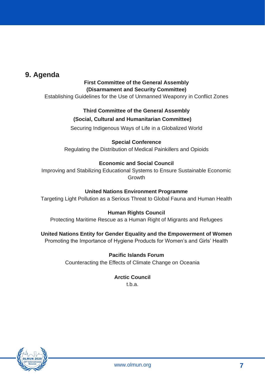## **9. Agenda**

#### **First Committee of the General Assembly (Disarmament and Security Committee)**

Establishing Guidelines for the Use of Unmanned Weaponry in Conflict Zones

#### **Third Committee of the General Assembly (Social, Cultural and Humanitarian Committee)**

Securing Indigenous Ways of Life in a Globalized World

#### **Special Conference**

Regulating the Distribution of Medical Painkillers and Opioids

#### **Economic and Social Council**

Improving and Stabilizing Educational Systems to Ensure Sustainable Economic Growth

#### **United Nations Environment Programme**

Targeting Light Pollution as a Serious Threat to Global Fauna and Human Health

#### **Human Rights Council**

Protecting Maritime Rescue as a Human Right of Migrants and Refugees

#### **United Nations Entity for Gender Equality and the Empowerment of Women**

Promoting the Importance of Hygiene Products for Women's and Girls' Health

#### **Pacific Islands Forum**

Counteracting the Effects of Climate Change on Oceania

# **Arctic Council**

t.b.a.